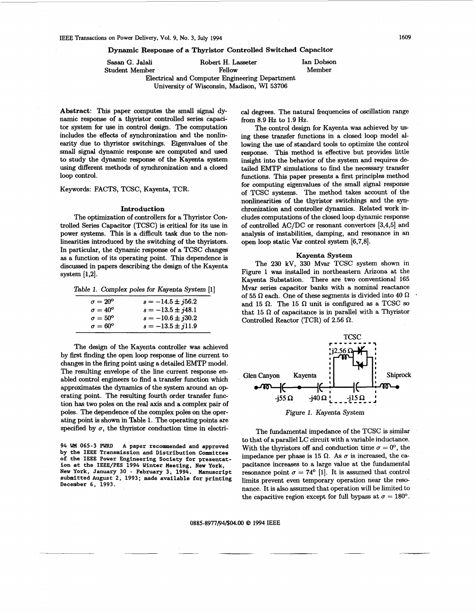<span id="page-0-0"></span>**Dynamic Response of a Thyristor Controlled Switched Capacitor** 

Sasan **G.** Jalali Robert H. Lasseter Ian Dobson

Student Member Fellow Member

Electrical and Computer Engineering Department University of Wisconsin, Madison, WI **53706** 

**Abstract:** This paper computes the small signal dynamic response of a thyristor controlled series capacitor system for use in control design. The computation includes the effects of synchronization and the nonlinearity due to thyristor switchings. Eigenvalues of the small signal dynamic response are computed and used to study the dynamic **response** of the Kayenta system using different methods of synchronization and a closed loop control.

Keywords: FACTS, TCSC, Kayenta, TCR.

# **Introduction**

The optimization of controllers for a Thyristor Controlled Series Capacitor (TCSC) is critical for its use in power systems. This is a difficult task due to the nonlinearities introduced by the switching of the thyristors. In particular, the dynamic response of a TCSC changes **as** a function of its operating point. This dependence is discussed in papers describing the design of the Kayenta system **[1,2].** 

Table 1. Complex poles for Kayenta System **[l]** 

| $\sigma = 20^{\circ}$ | $s = -14.5 \pm j56.2$ |
|-----------------------|-----------------------|
| $\sigma = 40^{\circ}$ | $s = -13.5 \pm i48.1$ |
| $\sigma = 50^{\circ}$ | $s = -10.6 \pm i30.2$ |
| $\sigma = 60^{\circ}$ | $s = -13.5 \pm i11.9$ |

The design of the Kayenta controller was achieved by first finding the open loop response of line current to changes in the firing point using a detailed EMTP model. The resulting envelope of the line current response enabled control engineers to find a transfer function which approximates the dynamics of the system around an operating point. The resulting fourth order transfer function has two poles on the real **axis** and a complex pair of poles. The dependence of the complex poles on the operating point is shown in Table **1.** The operating points are specified by  $\sigma$ , the thyristor conduction time in electri-

**94 WM 065-3** PWRD **A paper recommended and approved by the IEEE Transmission and Distribution Committee of the** IEEE **Power Engineering Society for presentation at the IEEE/PES 1994 Winter Meeting, New York, New York, January 30** - **February 3, 1994. Manuscript**  submitted August 2, 1993; made available for printing **December 6, 1993.** 

cal degrees. The natural frequencies of oscillation range from **8.9** *Hz* to **1.9** Hz.

The control design for Kayenta was achieved by **us**  ing these transfer functions in a closed loop model allowing the use of standard tools to optimize the control response. This method is effective but provides little insight into the behavior of the system and requires de tailed EMTP simulations to find the necessary transfer functions. This paper presents a first principles method for computing eigenvalues of the small signal response of TCSC systems. The method takes account of the nonlinearities of the thyristor switchings and the synchronization and controller dynamics. Related work includes computations of the closed loop dynamic response of controlled AC/DC or resonant convertors **[3,4,5]** and analysis of instabilities, damping, and resonance in an open loop static Var control system **[6,7,8].** 

# **Kayenta System**

The **230** kV, **330** Mvar TCSC system shown in Figure **1** was installed in northeastern Arizona at the Kayenta Substation. There are two conventional **165**  Mvar series capacitor banks with a nominal reactance of 55  $\Omega$  each. One of these segments is divided into 40  $\Omega$ and 15  $\Omega$ . The 15  $\Omega$  unit is configured as a TCSC so that 15  $\Omega$  of capacitance is in parallel with a Thyristor Controlled Reactor (TCR) of **2.56 R.** 



The fundamental impedance of the TCSC is similar to that of a parallel LC circuit with a variable inductance. With the thyristors off and conduction time  $\sigma = 0^{\circ}$ , the impedance per phase is 15  $\Omega$ . As  $\sigma$  is increased, the capacitance increases to a large value at the fundamental resonance point  $\sigma = 74^{\circ}$  [1]. It is assumed that control limits prevent even temporary operation near the resonance. It is also assumed that operation will be limited to the capacitive region except for full bypass at  $\sigma = 180^\circ$ .

### **0885-8977/94/\$04.00 Q 1994 IEEE**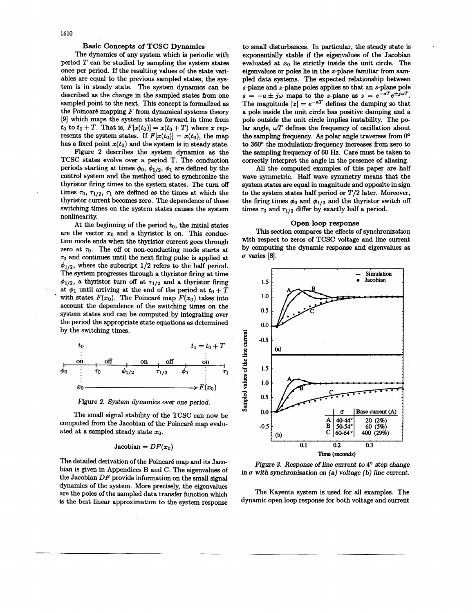# Basic Concepts of TCSC Dynamics

<span id="page-1-0"></span>The dynamics of any system which is periodic with period *T* can be studied by sampling the system states once per period. If the resulting values of the state variables are equal to the previous sampled states, the system is in steady state. The system dynamics can be described **as** the change in the sampled states from one sampled point to the next. This concept is formalized **as**  the Poincaré mapping  $F$  from dynamical systems theory **[9]** which maps the system states forward in time from  $t_0$  to  $t_0 + T$ . That is,  $F[x(t_0)] = x(t_0 + T)$  where x represents the system states. If  $F[x(t_0)] = x(t_0)$ , the map has a fixed point  $x(t_0)$  and the system is in steady state.

Figure **2** describes the system dynamics **as** the TCSC states evolve over a period T. The conduction periods starting at times  $\phi_0$ ,  $\phi_{1/2}$ ,  $\phi_1$  are defined by the control system and the method used to synchronize the thyristor firing times to the system states. The turn off times  $\tau_0$ ,  $\tau_{1/2}$ ,  $\tau_1$  are defined as the times at which the thyristor current becomes zero. The dependence of these switching times on the system states causes the system nonlinearity.

At the beginning of the period  $t_0$ , the initial states are the vector  $x_0$  and a thyristor is on. This conduction mode ends when the thyristor current *goes* through zero at  $\tau_0$ . The off or non-conducting mode starts at  $\tau_0$  and continues until the next firing pulse is applied at  $\phi_{1/2}$ , where the subscript 1/2 refers to the half period. The system progresses through a thyristor firing at time  $\phi_{1/2}$ , a thyristor turn off at  $\tau_{1/2}$  and a thyristor firing at  $\phi_1$  until arriving at the end of the period at  $t_0 + T$ with states  $F(x_0)$ . The Poincaré map  $F(x_0)$  takes into account the dependence of the switching times on the system states and can be computed by integrating over the period the appropriate state equations **as** determined by the switching times.



Figure *2.* System dynamics over one period.

The small signal stability of the TCSC can now be computed from the Jacobian of the Poincaré map evaluated at a sampled steady state  $x_0$ .

# $Jacobian = DF(x<sub>0</sub>)$

The detailed derivation of the Poincaré map and its Jacobian is given in Appendices B and C. The eigenvalues of the Jacobian *DF* provide information on the small signal dynamics of the system. More precisely, the eigenvalues are the poles of the sampled data transfer function which is the best linear approximation to the system response to small disturbances. In particular, the steady state is exponentially stable if the eigenvalues of the Jacobian evaluated at  $x_0$  lie strictly inside the unit circle. The eigenvalues or poles lie in the z-plane familiar from sampled data systems. The expected relationship between s-plane and z-plane poles applies *so* that an s-plane pole  $s = -a \pm j\omega$  maps to the z-plane as  $z = e^{-aT}e^{\pm j\omega T}$ . The magnitude  $|z| = e^{-aT}$  defines the damping so that a pole inside the unit circle has positive damping and a pole outside the unit circle implies instability. The polar angle, *wT* defines the frequency of oscillation about the sampling fiequency. *As* polar angle traverses from *00*  to 360° the modulation frequency increases from zero to the sampling frequency of *60* Hz. Care must be taken to correctly interpret the angle in the presence of aliasing.

All the computed examples of this paper are half wave symmetric. Half wave symmetry means that the system states are equal in magnitude and opposite in sign to the system states half period or *T/2* later. Moreover, the firing times  $\phi_0$  and  $\phi_{1/2}$  and the thyristor switch off times  $\tau_0$  and  $\tau_{1/2}$  differ by exactly half a period.

### Open loop response

This section compares the effects of synchronization with respect to zeros of TCSC voltage and line current by computing the dynamic response and eigenvalues **as**   $\sigma$  varies [8].



Figure 3. Response of line current to **4"** step change in  $\sigma$  with synchronization on (a) voltage (b) line current.

The Kayenta system is used for all examples. The dynamic open loop response for both voltage and current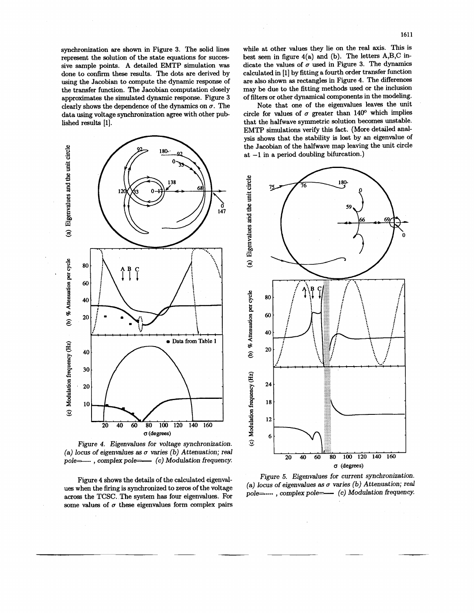<span id="page-2-0"></span>synchronization are shown in [Figure 3.](#page-1-0) The solid lines represent the solution of the state equations for successive sample points. A detailed EMTP simulation was done to confirm these results. The dots are derived by using the Jacobian to compute the dynamic response of the transfer function. The Jacobian computation closely approximates the simulated dynamic response. [Figure 3](#page-1-0) clearly shows the dependence of the dynamics on  $\sigma$ . The data using voltage synchronization agree with other pub lished results [l].



*Figure 4. Eigenvalues* for *voltage synchronization.*  (a) locus of eigenvalues as  $\sigma$  varies (b) Attenuation; real pole=---- , complex pole=--- (c) Modulation frequency.

Figure 4 shows the details of the calculated eigenvalues when the firing is synchronized to zeros of the voltage across the TCSC. The system has four eigenvalues. For some values of  $\sigma$  these eigenvalues form complex pairs

while at other values they lie on the real axis. This is best seen in figure  $4(a)$  and (b). The letters  $A,B,C$  indicate the values of  $\sigma$  used in [Figure 3.](#page-1-0) The dynamics calculated in [l] by fitting a fourth order transfer function are also shown **as** rectangles in Figure 4, The differences may be due to the fitting methods used or the inclusion of filters or other dynamical components in the modeling.

Note that one of the eigenvalues leaves the unit circle for values of  $\sigma$  greater than 140<sup>o</sup> which implies that the halfwave symmetric solution becomes unstable. EMTP simulations verify this fact. (More detailed analysis shows that the stability is lost by an eigenvalue of the Jacobian of the halfwave map leaving the unit circle at -1 in a period doubling bifurcation.)



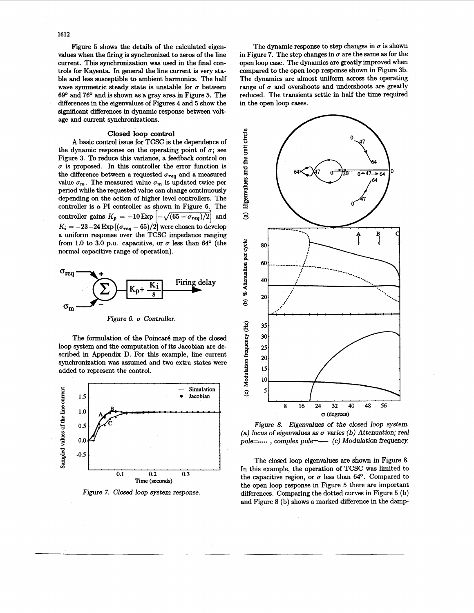Figure 5 shows the details of the calculated eigenvalues when the firing is synchronized to zeros of the line current. This synchronization was used in the final controls for Kayenta. **In** general the line current is very stsble and less susceptible to ambient harmonics. The half wave symmetric steady state is unstable for  $\sigma$  between 69O and 76O and is shown **as** a gray area in Figure 5. The differences in the eigenvalues of [Figures](#page-2-0) **4** and *5* show the significant differences in dynamic response between voltage and current synchronizations.

# **Closed loop control**

A basic control issue for TCSC is the dependence of the dynamic response on the operating point of  $\sigma$ ; see [Figure 3.](#page-1-0) To reduce this variance, a feedback control on  $\sigma$  is proposed. In this controller the error function is the difference between a requested  $\sigma_{req}$  and a measured value  $\sigma_m$ . The measured value  $\sigma_m$  is updated twice per period while the requested value can change continuously depending on the action of higher level controllers. The controller is a PI controller **as** shown in Figure 6. The controller gains  $K_p = -10 \exp \left[-\sqrt{(65 - \sigma_{req})/2}\right]$  and  $K_i = -23-24$  Exp  $[(\sigma_{req} - 65)/2]$  were chosen to develop a uniform response over the TCSC impedance ranging from 1.0 to 3.0 p.u. capacitive, or  $\sigma$  less than 64<sup>o</sup> (the normal capacitive range of operation).





The formulation of the Poincaré map of the closed loop system and the computation of its Jacobian are described in Appendix **D.** For this example, line current synchronization was assumed and two extra states were added to represent the control.



*Figure 7. Closed loop system response.* 

The dynamic response to step changes in  $\sigma$  is shown in Figure 7. The step changes in  $\sigma$  are the same as for the open loop case. The dynamics are greatly improved when compared to the open loop response shown in Figure 3b. The dynamics are almost uniform across the operating range of  $\sigma$  and overshoots and undershoots are greatly reduced. The transients settle in half the time required in the open loop cases.



*Figure 8. Eigendues* **of** *the closed loop system. (a) locus of eigenvalues* **as** *a varies (b) Attenuation; real*  pole= $\ldots$ , *complex pole=* (c) Modulation frequency.

The closed loop eigenvalues are shown in Figure 8. In this example, the operation of TCSC was limited to the capacitive region, or  $\sigma$  less than 64°. Compared to the open loop response in Figure 5 there are important differences. Comparing the dotted curves in Figure 5 (b) and Figure 8 (b) shows a marked difference in the damp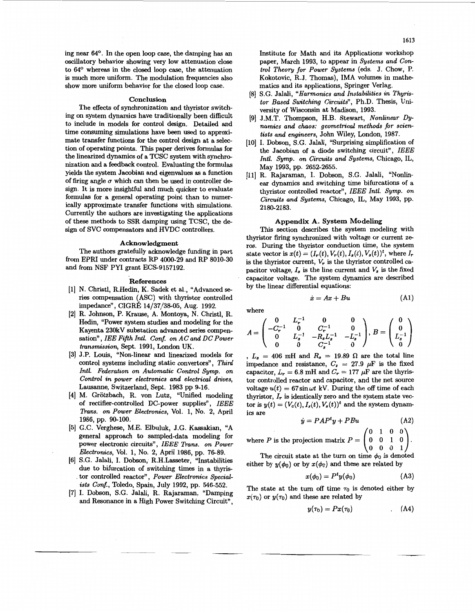ing near 64O. In the open loop case, the damping **has** an oscillatory behavior showing very low attenuation close to 64° whereas in the closed loop case, the attenuation is much more uniform. The modulation frequencies also show more uniform behavior for the closed loop case.

#### **Conclusion**

The effects of synchronization and thyristor switching on system dynamics have traditionally been difficult to include in models for control design. Detailed and time consuming simulations have been used to approximate transfer functions for the control design at a selection of operating points. This paper derives formulas for the linearized dynamics of a TCSC system with synchronization and a feedback control. Evaluating the formulas yields the system Jacobian and eigenvalues **as** a function of firing angle  $\sigma$  which can then be used in controller design. It is more insightful and much quicker to evaluate formulas for **a** general operating point than to numerically approximate transfer functions with simulations. Currently the authors are investigating the applications of these methods to SSR damping using TCSC, the design of SVC compensators and HVDC controllers.

# **Acknowledgment**

The authors gratefully acknowledge funding in part from EPRI under contracts RP 4000-29 and RP 8010-30 and from NSF PYI grant ECS-9157192.

#### **References**

- [l] **N.** Christl, R.Hedin, K. Sadek et al., "Advanced *se*ries compensation ( ASC) with thyristor controlled impedance", CIGRÉ 14/37/38-05, Aug. 1992.
- [2] R. Johnson, P. Krause, A. Montoya, **N.** Christl, R. Hedin, "Power system studies and modeling for the Kayenta 230kV substation advanced series compensation", *IEE Fifth Intl. Conf. on AC and DC Power transmission,* Sept. 1991, London UK.
- [3] J.P. Louis, "Non-linear and linearized models for control systems including static convertors", Third *Intl. Federation on Automatic Control Symp. on Control in power electronics and electrical drives,*  Lausanne, Switzerland, Sept. 1983 pp 9-16.
- [4] M. Grötzbach, R. von Lutz, "Unified modeling of rectifier-controlled DC-power supplies" , *IEEE Trans. on Power Electronics,* Vol. 1, No. 2, April 1986, pp. 90-100.
- [5] G.C. Verghese, M.E. Elbuluk, J.G. Kassakian, "A general approach to sampled-data modeling for power electronic circuits", *IEEE Trans. on Power Electronics,* Vol. 1, No. 2, April 1986, pp. 76-89.
- [6] S.G. Jalali, I. Dobson, R.H.Lasseter, "Instabilities due to bifurcation of switching times in a thyristor controlled reactor", Power Electronics Special*ists Conf.,* Toledo, Spain, July 1992, pp. 546-552.
- [7] I. Dobson, S.G. Jalali, R. Rajaraman, "Damping and Resonance in a High Power Switching Circuit",

Institute for Math and its Applications workshop paper, March 1993, to appear in *Systems and Control Theory for Power Systems* (eds. J. Chow, P. Kokotovic, R.J. Thomas), IMA volumes in mathematics and its applications, Springer Verlag.

- [8] S.G. Jalali, *"Harmonics and Instabilities in Thyristor Based Switching Circuits",* Ph.D. Thesis, University of Wisconsin at Madison, 1993.
- [9] J.M.T. Thompson, H.B. Stewart, *Nonlinear* Dy*namics and chaos: geometrical methods* **for** *scientists and engineers,* John Wiley, London, 1987.
- [10] I. Dobson, S.G. Jalali, "Surprising simplification of the Jacobian of a diode switching circuit", *IEEE Intl. Symp. on Circuits and Systems,* Chicago, IL, May 1993, pp. 2652-2655.
- [ll] R. Rajaraman, I. Dobson, S.G. Jalali, "Nonlinear dynamics and switching time bifurcations of a thyristor controlled reactor" , *IEEE Intl. Symp. on Circuits and Systems,* Chicago, IL, May 1993, pp. 2 180-2183.

# **Appendix A. System Modeling**

This section describes the system modeling with thyristor firing synchronized with voltage or current ze**ros.** During the thyristor conduction time, the system state vector is  $x(t) = (I_r(t), V_r(t), I_s(t), V_s(t))^t$ , where  $I_r$ is the thyristor current,  $V_r$  is the thyristor controlled capacitor voltage,  $I_s$  is the line current and  $V_s$  is the fixed capacitor voltage. The system dynamics are described by the linear differential equations:

$$
\dot{x} = Ax + Bu \tag{A1}
$$

where

$$
A = \begin{pmatrix} 0 & L_r^{-1} & 0 & 0 \\ -C_r^{-1} & 0 & C_r^{-1} & 0 \\ 0 & L_s^{-1} & -R_s L_s^{-1} & -L_s^{-1} \\ 0 & 0 & C_s^{-1} & 0 \end{pmatrix}, B = \begin{pmatrix} 0 \\ 0 \\ L_s^{-1} \\ 0 \end{pmatrix}
$$

,  $L_s = 406$  mH and  $R_s = 19.89$   $\Omega$  are the total line impedance and resistance,  $C_s = 27.9 \mu F$  is the fixed capacitor,  $L_r = 6.8$  mH and  $C_r = 177 \mu$ F are the thyristor controlled reactor and capacitor, and the net source voltage  $u(t) = 67 \sin \omega t$  kV. During the off time of each thyristor,  $I_r$  is identically zero and the system state vector is  $y(t) = (V_c(t), I_s(t), V_s(t))^t$  and the system dynamics are

$$
\dot{y} = PAP^{t}y + PBu \tag{A2}
$$

where P is the projection matrix 
$$
P = \begin{pmatrix} 0 & 1 & 0 & 0 \\ 0 & 0 & 1 & 0 \\ 0 & 0 & 0 & 1 \end{pmatrix}
$$
.  
The circuit state at the turn on time  $\phi_0$  is denoted

either by  $y(\phi_0)$  or by  $x(\phi_0)$  and these are related by

$$
x(\phi_0) = P^t y(\phi_0) \tag{A3}
$$

The state at the turn off time  $\tau_0$  is denoted either by  $x(\tau_0)$  or  $y(\tau_0)$  and these are related by

$$
y(\tau_0)=Px(\tau_0) \qquad \qquad (A4)
$$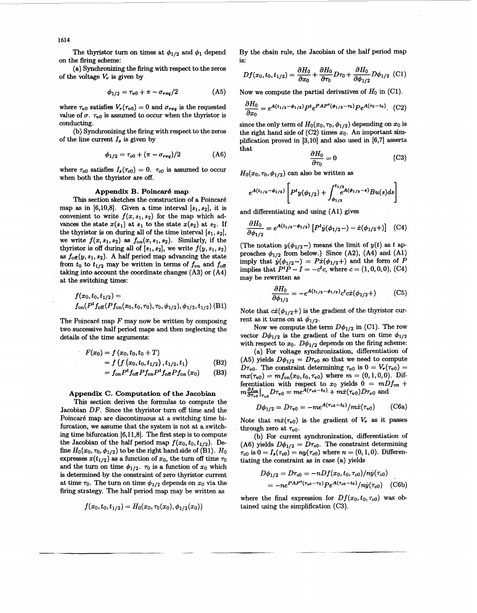The thyristor turn on times at  $\phi_{1/2}$  and  $\phi_1$  depend on the firing scheme:

(a) Synchronizing the firing with respect to the zeros of the voltage  $V_r$  is given by

$$
\phi_{1/2} = \tau_{v0} + \pi - \sigma_{req}/2 \tag{A5}
$$

where  $\tau_{v0}$  satisfies  $V_r(\tau_{v0}) = 0$  and  $\sigma_{req}$  is the requested value of  $\sigma$ .  $\tau_{v0}$  is assumed to occur when the thyristor is conducting.

(b) Synchronizing the firing with respect to the zeros of the line current  $I<sub>s</sub>$  is given by

$$
\phi_{1/2} = \tau_{c0} + (\pi - \sigma_{req})/2 \tag{A6}
$$

where  $\tau_{c0}$  satisfies  $I_s(\tau_{c0}) = 0$ .  $\tau_{c0}$  is assumed to occur when both the thyristor are off.

### **Appendix B. Poincar6 map**

This section sketches the construction of a Poincaré map as in  $[6,10,8]$ . Given a time interval  $[s_1,s_2]$ , it is convenient to write  $f(x, s_1, s_2)$  for the map which advances the state  $x(s_1)$  at  $s_1$  to the state  $x(s_2)$  at  $s_2$ . If the thyristor is on during all of the time interval  $[s_1, s_2]$ , we write  $f(x, s_1, s_2)$  as  $f_{on}(x, s_1, s_2)$ . Similarly, if the thyristor is off during all of  $[s_1, s_2]$ , we write  $f(y, s_1, s_2)$ as  $f_{\text{off}}(y, s_1, s_2)$ . A half period map advancing the state from  $t_0$  to  $t_{1/2}$  may be written in terms of  $f_{\text{on}}$  and  $f_{\text{off}}$ taking into account the coordinate changes **(A3)** or **(A4)**  at the switching times:

$$
f(x_0, t_0, t_{1/2}) =f_{\text{on}}(P^t f_{\text{off}}(P f_{\text{on}}(x_0, t_0, \tau_0), \tau_0, \phi_{1/2}), \phi_{1/2}, t_{1/2})
$$
(B1)

The Poincar6 map *F* may now be written by composing two successive half period maps and then neglecting the details of the time arguments:

$$
F(x_0) = f(x_0, t_0, t_0 + T)
$$
  
= f(f(x\_0, t\_0, t\_{1/2}), t\_{1/2}, t\_1) (B2)

$$
= f_{\rm on} P^t f_{\rm off} P f_{\rm on} P^t f_{\rm off} P f_{\rm on} (x_0) \qquad \text{(B3)}
$$

### **Appendix C. Computation of the Jacobian**

This section derives the formulas to compute the Jacobian *DF.* Since the thyristor turn **off** time and the Poincaré map are discontinuous at a switching time bifurcation, we assume that the system is not at a switching time bifurcation **[6,11,8].** The first step is to compute the Jacobian of the half period map  $f(x_0, t_0, t_{1/2})$ . Define  $H_0(x_0, \tau_0, \phi_{1/2})$  to be the right hand side of (B1).  $H_0$ expresses  $x(t_{1/2})$  as a function of  $x_0$ , the turn off time  $\tau_0$ and the turn on time  $\phi_{1/2}$ .  $\tau_0$  is a function of  $x_0$  which is determined by the constraint of zero thyristor current at time  $\tau_0$ . The turn on time  $\phi_{1/2}$  depends on  $x_0$  via the firing strategy. The half period map may be written **as** 

$$
f(x_0,t_0,t_{1/2})=H_0(x_0,\tau_0(x_0),\phi_{1/2}(x_0))
$$

By the chain rule, the Jacobian of the half period map is:

$$
Df(x_0, t_0, t_{1/2}) = \frac{\partial H_0}{\partial x_0} + \frac{\partial H_0}{\partial \tau_0} D\tau_0 + \frac{\partial H_0}{\partial \phi_{1/2}} D\phi_{1/2} \tag{C1}
$$

Now we compute the partial derivatives of  $H_0$  in  $(Cl)$ .

$$
\frac{\partial H_0}{\partial x_0} = e^{A(t_{1/2} - \phi_{1/2})} P^t e^{PAP^t(\phi_{1/2} - \tau_0)} P e^{A(\tau_0 - t_0)}.
$$
 (C2)

since the only term of  $H_0(x_0, \tau_0, \phi_{1/2})$  depending on  $x_0$  is the right hand side of  $(C2)$  times  $x_0$ . An important simplification proved in **(3,101** and **also** used in **[6,7]** asserts that

$$
\frac{\partial H_0}{\partial \tau_0} = 0 \tag{C3}
$$

 $H_0(x_0, \tau_0, \phi_{1/2})$  can also be written as

$$
e^{A(t_{1/2}-\phi_{1/2})}\left[P^t y(\phi_{1/2})+\int_{\phi_{1/2}}^{t_{1/2}}e^{A(\phi_{1/2}-s)}Bu(s)ds\right]
$$

and differentiating and using **(Al)** gives

$$
\frac{\partial H_0}{\partial \phi_{1/2}} = e^{A(t_{1/2} - \phi_{1/2})} \left[ P^t \dot{y}(\phi_{1/2} -) - \dot{x}(\phi_{1/2} +) \right] \tag{C4}
$$

(The notation  $y(\phi_{1/2})$  means the limit of  $y(t)$  as  $t$  approaches  $\phi_{1/2}$  from below.) Since  $(A2)$ ,  $(A4)$  and  $(A1)$ imply that  $\dot{y}(\phi_{1/2}) = P\dot{x}(\phi_{1/2})$  and the form of  $\dot{P}$  implies that  $P^tP - I = -c^t c$ , where  $c = (1, 0, 0, 0)$ , (C4) may be rewritten **as** 

$$
\frac{\partial H_0}{\partial \phi_{1/2}} = -e^{A(t_{1/2} - \phi_{1/2})} c^t c \dot{x} (\phi_{1/2} +)
$$
 (C5)

Note that  $c\dot{x}(\phi_{1/2}+)$  is the gradient of the thyristor current as it turns on at  $\phi_{1/2}$ .

Now we compute the term  $D\phi_{1/2}$  in (C1). The row vector  $D\phi_{1/2}$  is the gradient of the turn on time  $\phi_{1/2}$ with respect to  $x_0$ .  $D\phi_{1/2}$  depends on the firing scheme:

(a) For voltage synchronization, differentiation of (A5) yields  $D\phi_{1/2} = D\tau_{v0}$  so that we need to compute *D* $\tau_{v0}$ . The constraint determining  $\tau_{v0}$  is  $0 = V_r(\tau_{v0}) =$  $mx(\tau_{v0}) = mf_{on}(x_0, t_0, \tau_{v0})$  where  $m = (0, 1, 0, 0)$ . Differentiation with respect to  $x_0$  yields  $0 = mDf_{on} +$  $m\frac{\partial f_{\text{on}}}{\partial \tau_{w0}}\Big|_{\tau_{w0}}D\tau_{v0}=me^{\tilde{A}(\tau_{v0}-t_0)}+m\dot{x}(\tau_{v0})D\tau_{v0}$  and

$$
D\phi_{1/2} = D\tau_{v0} = -me^{A(\tau_{v0} - t_0)}/m\dot{x}(\tau_{v0})
$$
 (C6a)

Note that  $m\dot{x}(\tau_{v0})$  is the gradient of  $V_r$  as it passes through zero at  $\tau_{v0}$ .

(b) For current synchronization, differentiation of (A6) yields  $D\phi_{1/2} = D\tau_{c0}$ . The constraint determining  $\tau_{c0}$  is  $0 = I_s(\tau_{c0}) = ny(\tau_{c0})$  where  $n = (0, 1, 0)$ . Differentiating the constraint **as** in case (a) yields

$$
D\phi_{1/2} = Dr_{c0} = -nDf(x_0, t_0, \tau_{c0})/n\dot{y}(\tau_{c0})
$$
  
=  $-ne^{PAP^*(\tau_{c0}-\tau_0)}Pe^{A(\tau_{c0}-t_0)}/n\dot{y}(\tau_{c0})$  (C6b)

where the final expression for  $Df(x_0, t_0, \tau_{c0})$  was obtained using the simplification **(C3).**